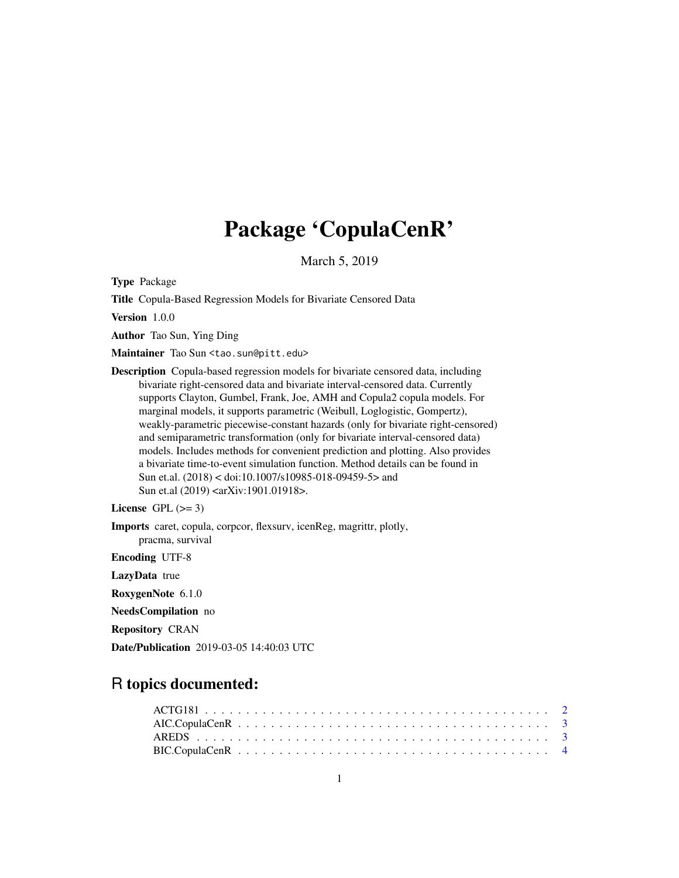# Package 'CopulaCenR'

March 5, 2019

Type Package

Title Copula-Based Regression Models for Bivariate Censored Data

Version 1.0.0

Author Tao Sun, Ying Ding

Maintainer Tao Sun <tao.sun@pitt.edu>

Description Copula-based regression models for bivariate censored data, including bivariate right-censored data and bivariate interval-censored data. Currently supports Clayton, Gumbel, Frank, Joe, AMH and Copula2 copula models. For marginal models, it supports parametric (Weibull, Loglogistic, Gompertz), weakly-parametric piecewise-constant hazards (only for bivariate right-censored) and semiparametric transformation (only for bivariate interval-censored data) models. Includes methods for convenient prediction and plotting. Also provides a bivariate time-to-event simulation function. Method details can be found in Sun et.al. (2018) < doi:10.1007/s10985-018-09459-5> and Sun et.al (2019) <arXiv:1901.01918>.

```
License GPL (>= 3)
```
Imports caret, copula, corpcor, flexsurv, icenReg, magrittr, plotly, pracma, survival

Encoding UTF-8

LazyData true

RoxygenNote 6.1.0

NeedsCompilation no

Repository CRAN

Date/Publication 2019-03-05 14:40:03 UTC

# R topics documented: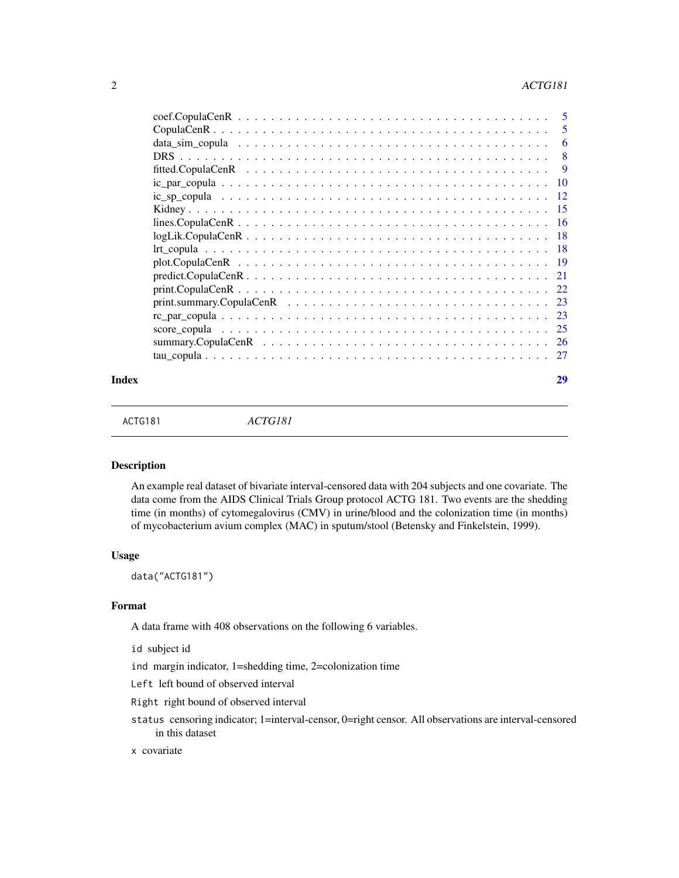<span id="page-1-0"></span>

| 5    |
|------|
| 6    |
| 8    |
| 9    |
| 10   |
| -12  |
| -15  |
| - 16 |
| - 18 |
| -18  |
|      |
|      |
|      |
| -23  |
| 23   |
| -25  |
| -26  |
| - 27 |
|      |

#### **Index** [29](#page-28-0)

ACTG181 *ACTG181*

#### Description

An example real dataset of bivariate interval-censored data with 204 subjects and one covariate. The data come from the AIDS Clinical Trials Group protocol ACTG 181. Two events are the shedding time (in months) of cytomegalovirus (CMV) in urine/blood and the colonization time (in months) of mycobacterium avium complex (MAC) in sputum/stool (Betensky and Finkelstein, 1999).

#### Usage

data("ACTG181")

#### Format

A data frame with 408 observations on the following 6 variables.

id subject id

ind margin indicator, 1=shedding time, 2=colonization time

Left left bound of observed interval

Right right bound of observed interval

status censoring indicator; 1=interval-censor, 0=right censor. All observations are interval-censored in this dataset

# x covariate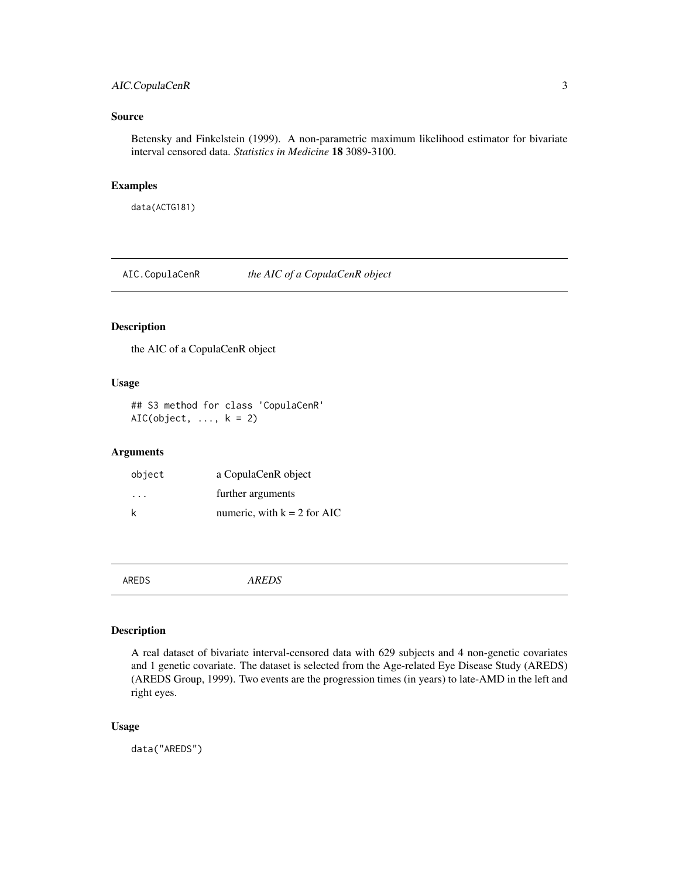# <span id="page-2-0"></span>AIC.CopulaCenR 3

# Source

Betensky and Finkelstein (1999). A non-parametric maximum likelihood estimator for bivariate interval censored data. *Statistics in Medicine* 18 3089-3100.

# Examples

data(ACTG181)

AIC.CopulaCenR *the AIC of a CopulaCenR object*

#### Description

the AIC of a CopulaCenR object

# Usage

## S3 method for class 'CopulaCenR'  $AIC(object, ..., k = 2)$ 

# Arguments

| object                  | a CopulaCenR object           |
|-------------------------|-------------------------------|
| $\cdot$ $\cdot$ $\cdot$ | further arguments             |
| k                       | numeric, with $k = 2$ for AIC |

AREDS *AREDS*

# Description

A real dataset of bivariate interval-censored data with 629 subjects and 4 non-genetic covariates and 1 genetic covariate. The dataset is selected from the Age-related Eye Disease Study (AREDS) (AREDS Group, 1999). Two events are the progression times (in years) to late-AMD in the left and right eyes.

#### Usage

data("AREDS")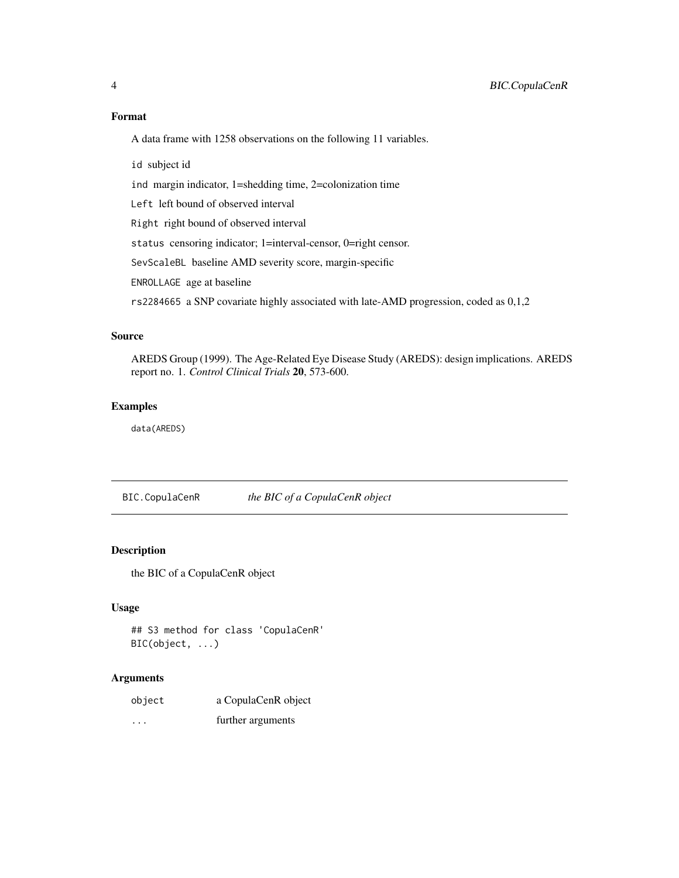#### Format

A data frame with 1258 observations on the following 11 variables.

id subject id

ind margin indicator, 1=shedding time, 2=colonization time

Left left bound of observed interval

Right right bound of observed interval

status censoring indicator; 1=interval-censor, 0=right censor.

SevScaleBL baseline AMD severity score, margin-specific

ENROLLAGE age at baseline

rs2284665 a SNP covariate highly associated with late-AMD progression, coded as 0,1,2

# Source

AREDS Group (1999). The Age-Related Eye Disease Study (AREDS): design implications. AREDS report no. 1. *Control Clinical Trials* 20, 573-600.

### Examples

data(AREDS)

BIC.CopulaCenR *the BIC of a CopulaCenR object*

### Description

the BIC of a CopulaCenR object

#### Usage

```
## S3 method for class 'CopulaCenR'
BIC(object, ...)
```

| object  | a CopulaCenR object |
|---------|---------------------|
| $\cdot$ | further arguments   |

<span id="page-3-0"></span>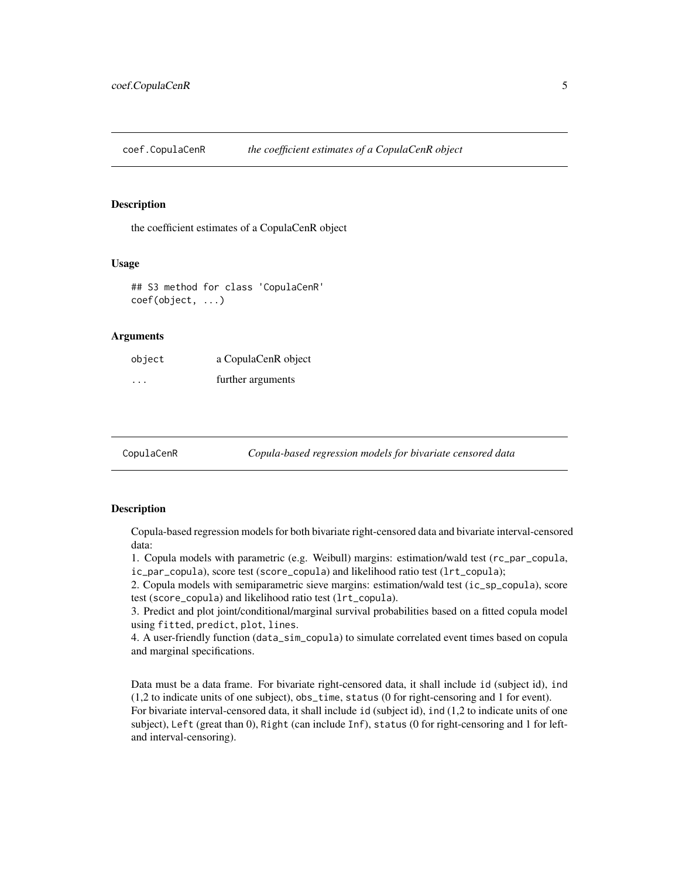<span id="page-4-0"></span>coef.CopulaCenR *the coefficient estimates of a CopulaCenR object*

#### **Description**

the coefficient estimates of a CopulaCenR object

#### Usage

## S3 method for class 'CopulaCenR' coef(object, ...)

#### Arguments

| object  | a CopulaCenR object |
|---------|---------------------|
| $\cdot$ | further arguments   |

CopulaCenR *Copula-based regression models for bivariate censored data*

#### **Description**

Copula-based regression models for both bivariate right-censored data and bivariate interval-censored data:

1. Copula models with parametric (e.g. Weibull) margins: estimation/wald test (rc\_par\_copula, ic\_par\_copula), score test (score\_copula) and likelihood ratio test (lrt\_copula);

2. Copula models with semiparametric sieve margins: estimation/wald test (ic\_sp\_copula), score test (score\_copula) and likelihood ratio test (lrt\_copula).

3. Predict and plot joint/conditional/marginal survival probabilities based on a fitted copula model using fitted, predict, plot, lines.

4. A user-friendly function (data\_sim\_copula) to simulate correlated event times based on copula and marginal specifications.

Data must be a data frame. For bivariate right-censored data, it shall include id (subject id), ind (1,2 to indicate units of one subject), obs\_time, status (0 for right-censoring and 1 for event). For bivariate interval-censored data, it shall include id (subject id), ind (1,2 to indicate units of one subject), Left (great than 0), Right (can include Inf), status (0 for right-censoring and 1 for leftand interval-censoring).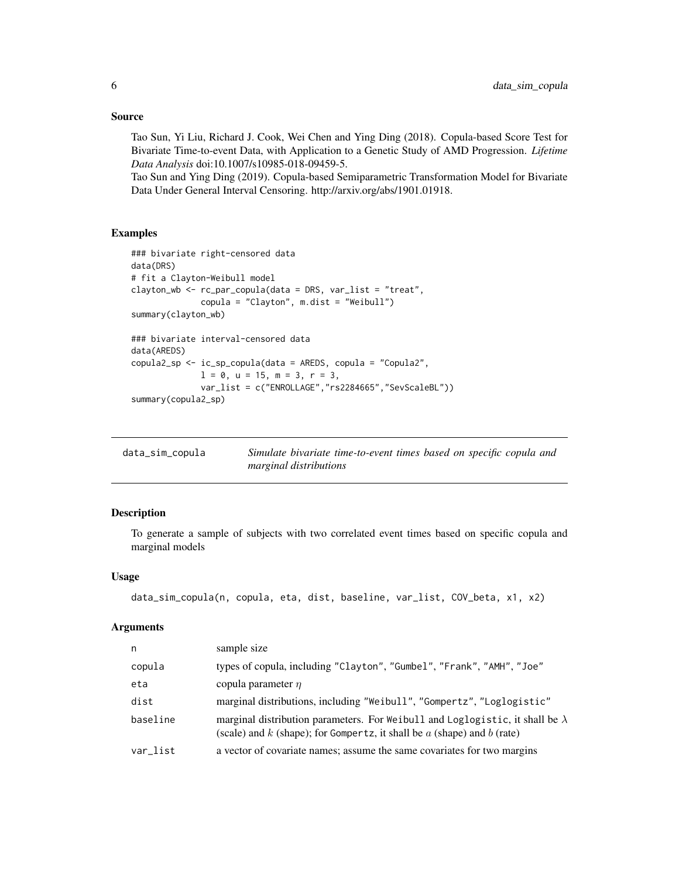#### <span id="page-5-0"></span>Source

Tao Sun, Yi Liu, Richard J. Cook, Wei Chen and Ying Ding (2018). Copula-based Score Test for Bivariate Time-to-event Data, with Application to a Genetic Study of AMD Progression. *Lifetime Data Analysis* doi:10.1007/s10985-018-09459-5.

Tao Sun and Ying Ding (2019). Copula-based Semiparametric Transformation Model for Bivariate Data Under General Interval Censoring. http://arxiv.org/abs/1901.01918.

# Examples

```
### bivariate right-censored data
data(DRS)
# fit a Clayton-Weibull model
clayton_wb <- rc_par_copula(data = DRS, var_list = "treat",
              copula = "Clayton", m.dist = "Weibull")
summary(clayton_wb)
### bivariate interval-censored data
data(AREDS)
copula2_sp <- ic_sp_copula(data = AREDS, copula = "Copula2",
              1 = 0, u = 15, m = 3, r = 3,
              var_list = c("ENROLLAGE","rs2284665","SevScaleBL"))
summary(copula2_sp)
```

| data_sim_copula | Simulate bivariate time-to-event times based on specific copula and |  |
|-----------------|---------------------------------------------------------------------|--|
|                 | marginal distributions                                              |  |

# Description

To generate a sample of subjects with two correlated event times based on specific copula and marginal models

#### Usage

```
data_sim_copula(n, copula, eta, dist, baseline, var_list, COV_beta, x1, x2)
```

| n        | sample size                                                                                                                                                           |
|----------|-----------------------------------------------------------------------------------------------------------------------------------------------------------------------|
| copula   | types of copula, including "Clayton", "Gumbel", "Frank", "AMH", "Joe"                                                                                                 |
| eta      | copula parameter $\eta$                                                                                                                                               |
| dist     | marginal distributions, including "Weibull", "Gompertz", "Loglogistic"                                                                                                |
| baseline | marginal distribution parameters. For Weibull and Loglogistic, it shall be $\lambda$<br>(scale) and $k$ (shape); for Gompertz, it shall be $a$ (shape) and $b$ (rate) |
| var list | a vector of covariate names; assume the same covariates for two margins                                                                                               |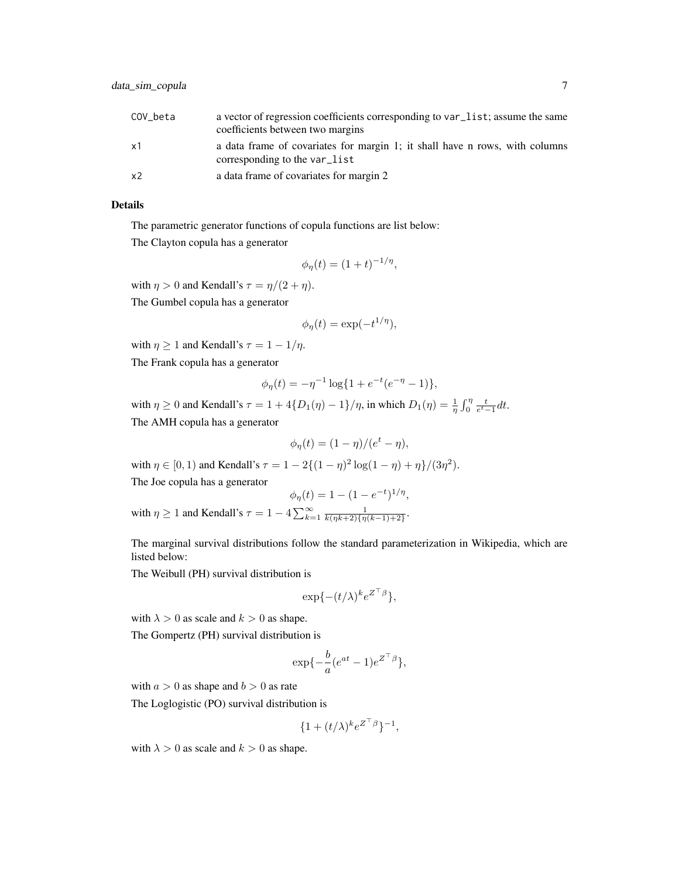| COV beta | a vector of regression coefficients corresponding to var_list; assume the same<br>coefficients between two margins |
|----------|--------------------------------------------------------------------------------------------------------------------|
| x1       | a data frame of covariates for margin 1; it shall have n rows, with columns<br>corresponding to the var_list       |
| x2       | a data frame of covariates for margin 2                                                                            |

#### Details

The parametric generator functions of copula functions are list below:

The Clayton copula has a generator

$$
\phi_{\eta}(t) = (1+t)^{-1/\eta},
$$

with  $\eta > 0$  and Kendall's  $\tau = \eta/(2 + \eta)$ . The Gumbel copula has a generator

$$
\phi_{\eta}(t) = \exp(-t^{1/\eta}),
$$

with  $\eta \geq 1$  and Kendall's  $\tau = 1 - 1/\eta$ .

The Frank copula has a generator

$$
\phi_{\eta}(t) = -\eta^{-1} \log\{1 + e^{-t}(e^{-\eta} - 1)\},\
$$

with  $\eta \ge 0$  and Kendall's  $\tau = 1 + 4\{D_1(\eta) - 1\}/\eta$ , in which  $D_1(\eta) = \frac{1}{\eta} \int_0^{\eta} \frac{t}{e^t - 1} dt$ . The AMH copula has a generator

$$
\phi_{\eta}(t) = (1 - \eta)/(e^t - \eta),
$$

with  $\eta \in [0, 1)$  and Kendall's  $\tau = 1 - 2\{(1 - \eta)^2 \log(1 - \eta) + \eta\}/(3\eta^2)$ .

The Joe copula has a generator

$$
\phi_{\eta}(t) = 1 - (1 - e^{-t})^{1/\eta},
$$

with  $\eta \ge 1$  and Kendall's  $\tau = 1 - 4 \sum_{k=1}^{\infty} \frac{1}{k(\eta k+2)\{\eta(k-1)+2\}}$ .

The marginal survival distributions follow the standard parameterization in Wikipedia, which are listed below:

The Weibull (PH) survival distribution is

$$
\exp\{-(t/\lambda)^k e^{Z^\top\beta}\},
$$

with  $\lambda > 0$  as scale and  $k > 0$  as shape.

The Gompertz (PH) survival distribution is

$$
\exp\{-\frac{b}{a}(e^{at}-1)e^{Z^\top\beta}\},\
$$

with  $a > 0$  as shape and  $b > 0$  as rate

The Loglogistic (PO) survival distribution is

$$
\{1+(t/\lambda)^k e^{Z^\top\beta}\}^{-1},
$$

with  $\lambda > 0$  as scale and  $k > 0$  as shape.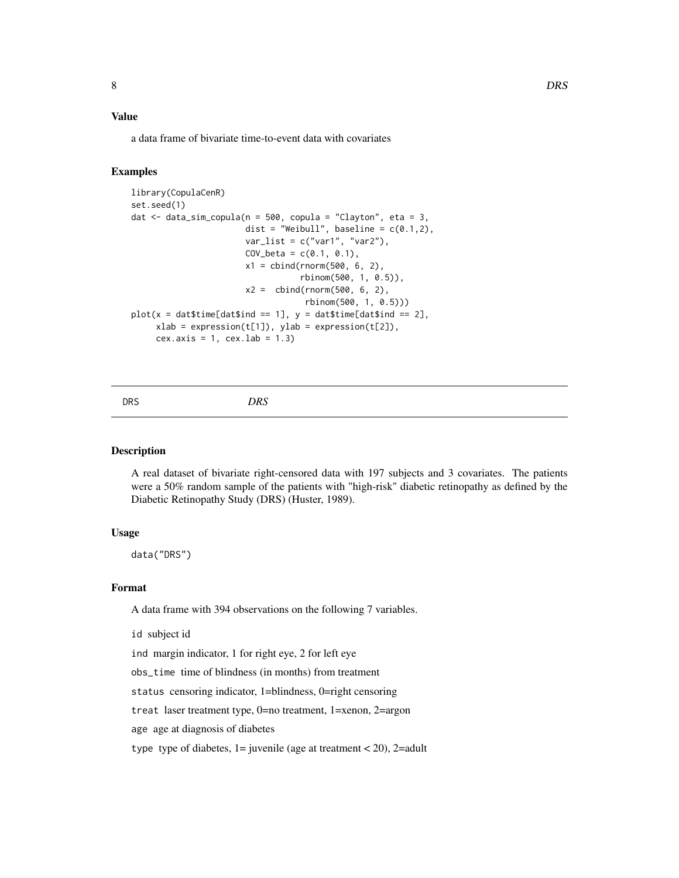# <span id="page-7-0"></span>Value

a data frame of bivariate time-to-event data with covariates

#### Examples

```
library(CopulaCenR)
set.seed(1)
dat \le data_sim_copula(n = 500, copula = "Clayton", eta = 3,
                       dist = "Weibull", baseline = c(0.1,2),
                       var_list = c("var1", "var2"),COV_{beta} = c(0.1, 0.1),x1 = \text{cbind}(rnorm(500, 6, 2),rbinom(500, 1, 0.5)),
                       x2 = \text{cbind}(rnorm(500, 6, 2),rbinom(500, 1, 0.5)))
plot(x = dat$time[dat$ind == 1], y = dat$time[dat$ind == 2],xlab = expression(t[1]), ylab = expression(t[2]),cex.axis = 1, cex.lab = 1.3
```
# DRS *DRS*

# Description

A real dataset of bivariate right-censored data with 197 subjects and 3 covariates. The patients were a 50% random sample of the patients with "high-risk" diabetic retinopathy as defined by the Diabetic Retinopathy Study (DRS) (Huster, 1989).

#### Usage

data("DRS")

#### Format

A data frame with 394 observations on the following 7 variables.

id subject id

ind margin indicator, 1 for right eye, 2 for left eye

obs\_time time of blindness (in months) from treatment

status censoring indicator, 1=blindness, 0=right censoring

treat laser treatment type, 0=no treatment, 1=xenon, 2=argon

age age at diagnosis of diabetes

type type of diabetes,  $1 =$  juvenile (age at treatment < 20), 2=adult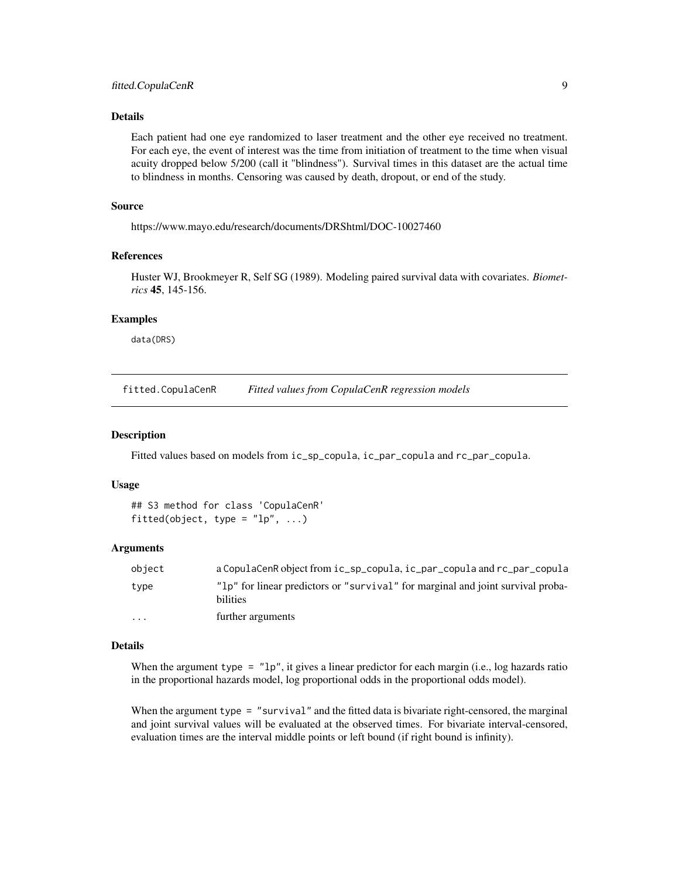# <span id="page-8-0"></span>Details

Each patient had one eye randomized to laser treatment and the other eye received no treatment. For each eye, the event of interest was the time from initiation of treatment to the time when visual acuity dropped below 5/200 (call it "blindness"). Survival times in this dataset are the actual time to blindness in months. Censoring was caused by death, dropout, or end of the study.

# Source

https://www.mayo.edu/research/documents/DRShtml/DOC-10027460

# References

Huster WJ, Brookmeyer R, Self SG (1989). Modeling paired survival data with covariates. *Biometrics* 45, 145-156.

# Examples

data(DRS)

fitted.CopulaCenR *Fitted values from CopulaCenR regression models*

#### Description

Fitted values based on models from ic\_sp\_copula, ic\_par\_copula and rc\_par\_copula.

#### Usage

```
## S3 method for class 'CopulaCenR'
fitted(object, type = "lp", ...)
```
#### Arguments

| obiect   | a CopulaCenR object from ic_sp_copula, ic_par_copula and rc_par_copula                      |
|----------|---------------------------------------------------------------------------------------------|
| tvpe     | "lp" for linear predictors or "survival" for marginal and joint survival proba-<br>bilities |
| $\cdots$ | further arguments                                                                           |

#### Details

When the argument type  $=$  "1p", it gives a linear predictor for each margin (i.e., log hazards ratio in the proportional hazards model, log proportional odds in the proportional odds model).

When the argument type = "survival" and the fitted data is bivariate right-censored, the marginal and joint survival values will be evaluated at the observed times. For bivariate interval-censored, evaluation times are the interval middle points or left bound (if right bound is infinity).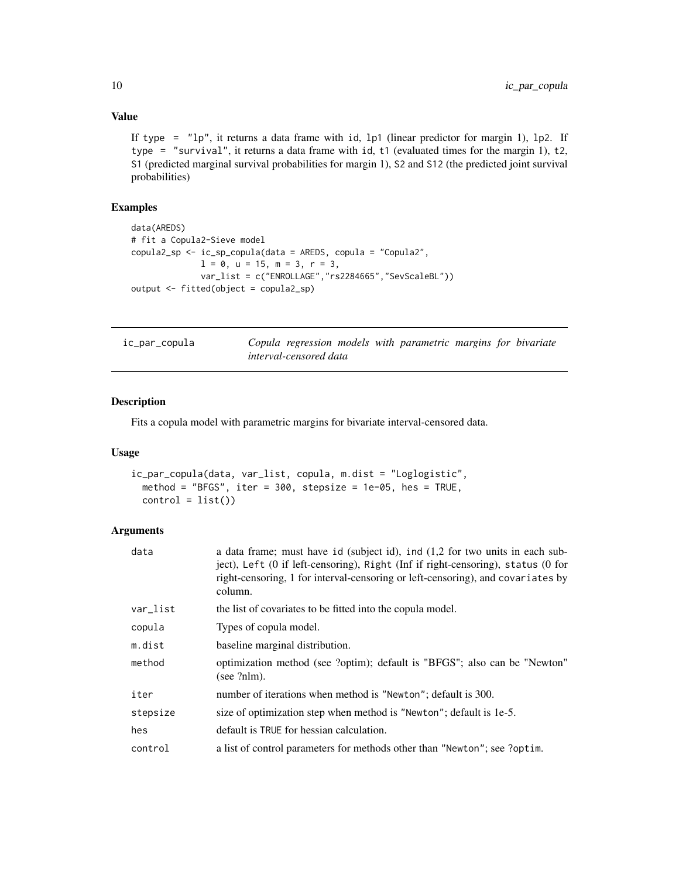# Value

If type =  $"lp"$ , it returns a data frame with id, lp1 (linear predictor for margin 1), lp2. If type = "survival", it returns a data frame with id, t1 (evaluated times for the margin 1), t2, S1 (predicted marginal survival probabilities for margin 1), S2 and S12 (the predicted joint survival probabilities)

# Examples

```
data(AREDS)
# fit a Copula2-Sieve model
copula2_sp <- ic_sp_copula(data = AREDS, copula = "Copula2",
              1 = 0, u = 15, m = 3, r = 3,
              var_list = c("ENROLLAGE","rs2284665","SevScaleBL"))
output <- fitted(object = copula2_sp)
```

| ic_par_copula |                        |  | Copula regression models with parametric margins for bivariate |  |  |
|---------------|------------------------|--|----------------------------------------------------------------|--|--|
|               | interval-censored data |  |                                                                |  |  |

# Description

Fits a copula model with parametric margins for bivariate interval-censored data.

# Usage

```
ic_par_copula(data, var_list, copula, m.dist = "Loglogistic",
 method = "BFGS", iter = 300, stepsize = 1e-05, hes = TRUE,
 control = list()
```

| a data frame; must have id (subject id), ind $(1,2)$ for two units in each sub-<br>ject), Left (0 if left-censoring), Right (Inf if right-censoring), status (0 for<br>right-censoring, 1 for interval-censoring or left-censoring), and covariates by<br>column. |
|-------------------------------------------------------------------------------------------------------------------------------------------------------------------------------------------------------------------------------------------------------------------|
| the list of covariates to be fitted into the copula model.                                                                                                                                                                                                        |
| Types of copula model.                                                                                                                                                                                                                                            |
| baseline marginal distribution.                                                                                                                                                                                                                                   |
| optimization method (see ?optim); default is "BFGS"; also can be "Newton"<br>(see ?nlm).                                                                                                                                                                          |
| number of iterations when method is "Newton"; default is 300.                                                                                                                                                                                                     |
| size of optimization step when method is "Newton"; default is 1e-5.                                                                                                                                                                                               |
| default is TRUE for hessian calculation.                                                                                                                                                                                                                          |
| a list of control parameters for methods other than "Newton"; see ?optim.                                                                                                                                                                                         |
|                                                                                                                                                                                                                                                                   |

<span id="page-9-0"></span>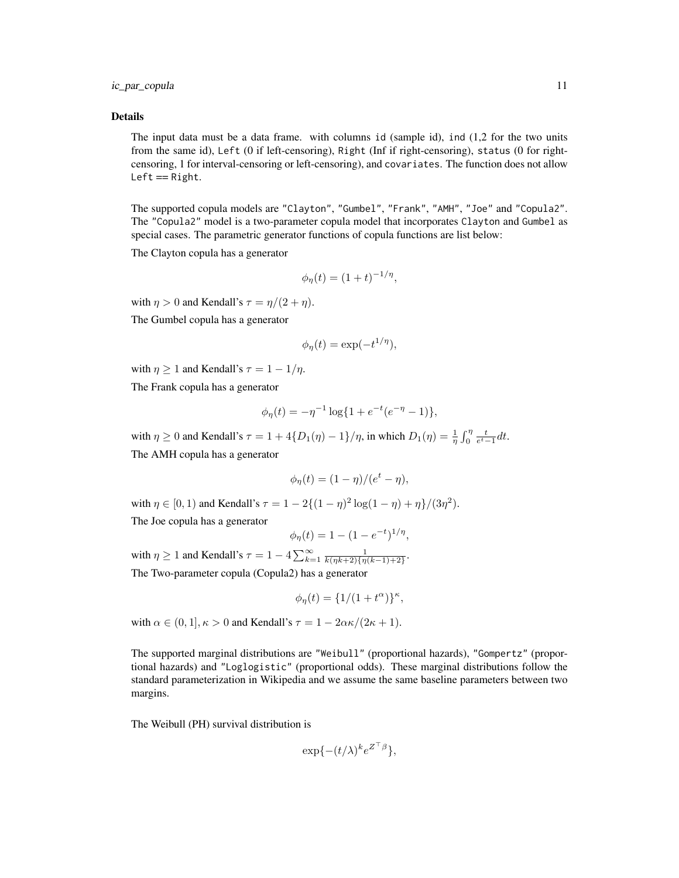ic\_par\_copula 11

#### Details

The input data must be a data frame. with columns id (sample id), ind (1,2 for the two units from the same id), Left (0 if left-censoring), Right (Inf if right-censoring), status (0 for rightcensoring, 1 for interval-censoring or left-censoring), and covariates. The function does not allow  $Left == Right.$ 

The supported copula models are "Clayton", "Gumbel", "Frank", "AMH", "Joe" and "Copula2". The "Copula2" model is a two-parameter copula model that incorporates Clayton and Gumbel as special cases. The parametric generator functions of copula functions are list below:

The Clayton copula has a generator

$$
\phi_{\eta}(t) = (1+t)^{-1/\eta},
$$

with  $\eta > 0$  and Kendall's  $\tau = \eta/(2 + \eta)$ .

The Gumbel copula has a generator

$$
\phi_{\eta}(t) = \exp(-t^{1/\eta}),
$$

with  $\eta \geq 1$  and Kendall's  $\tau = 1 - 1/\eta$ .

The Frank copula has a generator

$$
\phi_{\eta}(t) = -\eta^{-1} \log\{1 + e^{-t}(e^{-\eta} - 1)\},\
$$

with  $\eta \ge 0$  and Kendall's  $\tau = 1 + 4\{D_1(\eta) - 1\}/\eta$ , in which  $D_1(\eta) = \frac{1}{\eta} \int_0^{\eta} \frac{t}{e^t - 1} dt$ . The AMH copula has a generator

$$
\phi_{\eta}(t) = (1 - \eta)/(e^t - \eta),
$$

with  $\eta \in [0, 1)$  and Kendall's  $\tau = 1 - 2\{(1 - \eta)^2 \log(1 - \eta) + \eta\}/(3\eta^2)$ . The Joe copula has a generator

$$
\phi_{\eta}(t) = 1 - (1 - e^{-t})^{1/\eta},
$$

with  $\eta \ge 1$  and Kendall's  $\tau = 1 - 4 \sum_{k=1}^{\infty} \frac{1}{k(\eta k+2)\{\eta(k-1)+2\}}$ . The Two-parameter copula (Copula2) has a generator

$$
\phi_{\eta}(t) = \{1/(1+t^{\alpha})\}^{\kappa},
$$

with  $\alpha \in (0, 1], \kappa > 0$  and Kendall's  $\tau = 1 - 2\alpha \kappa/(2\kappa + 1)$ .

The supported marginal distributions are "Weibull" (proportional hazards), "Gompertz" (proportional hazards) and "Loglogistic" (proportional odds). These marginal distributions follow the standard parameterization in Wikipedia and we assume the same baseline parameters between two margins.

The Weibull (PH) survival distribution is

$$
\exp\{-(t/\lambda)^k e^{Z^\top\beta}\},
$$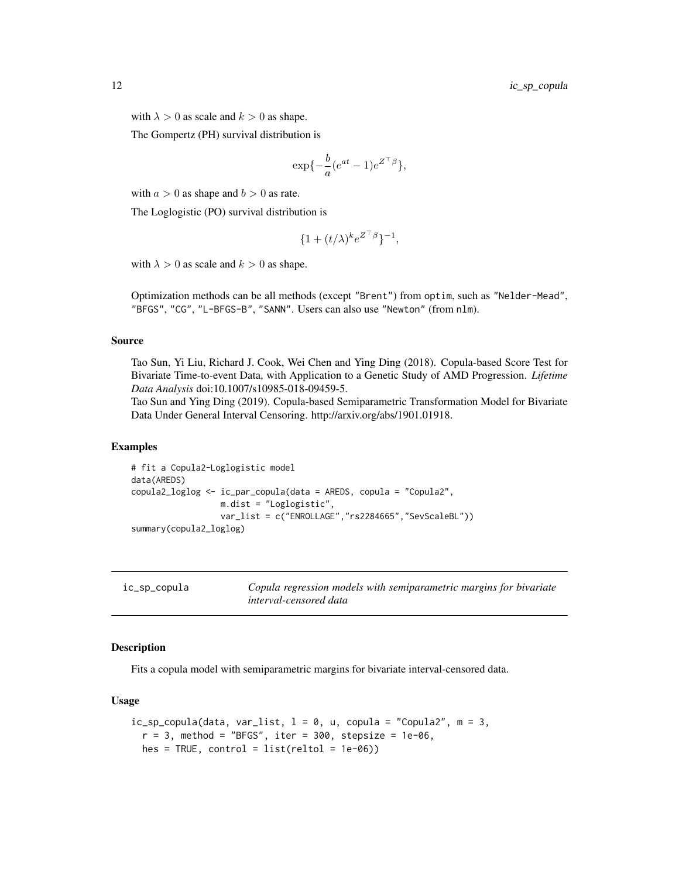<span id="page-11-0"></span>with  $\lambda > 0$  as scale and  $k > 0$  as shape.

The Gompertz (PH) survival distribution is

$$
\exp\{-\frac{b}{a}(e^{at}-1)e^{Z^{\top}\beta}\},\
$$

with  $a > 0$  as shape and  $b > 0$  as rate.

The Loglogistic (PO) survival distribution is

$$
\{1+(t/\lambda)^k e^{Z^\top\beta}\}^{-1},
$$

with  $\lambda > 0$  as scale and  $k > 0$  as shape.

Optimization methods can be all methods (except "Brent") from optim, such as "Nelder-Mead", "BFGS", "CG", "L-BFGS-B", "SANN". Users can also use "Newton" (from nlm).

#### Source

Tao Sun, Yi Liu, Richard J. Cook, Wei Chen and Ying Ding (2018). Copula-based Score Test for Bivariate Time-to-event Data, with Application to a Genetic Study of AMD Progression. *Lifetime Data Analysis* doi:10.1007/s10985-018-09459-5.

Tao Sun and Ying Ding (2019). Copula-based Semiparametric Transformation Model for Bivariate Data Under General Interval Censoring. http://arxiv.org/abs/1901.01918.

#### Examples

```
# fit a Copula2-Loglogistic model
data(AREDS)
copula2_loglog <- ic_par_copula(data = AREDS, copula = "Copula2",
                  m.dist = "Loglogistic",
                  var_list = c("ENROLLAGE","rs2284665","SevScaleBL"))
summary(copula2_loglog)
```

| ic_sp_copula | Copula regression models with semiparametric margins for bivariate |
|--------------|--------------------------------------------------------------------|
|              | interval-censored data                                             |

#### Description

Fits a copula model with semiparametric margins for bivariate interval-censored data.

# Usage

```
ic_sp_copula(data, var_list, 1 = 0, u, copula = "Copula2", m = 3,r = 3, method = "BFGS", iter = 300, stepsize = 1e-06,
 hes = TRUE, control = list(reltol = 1e-06)
```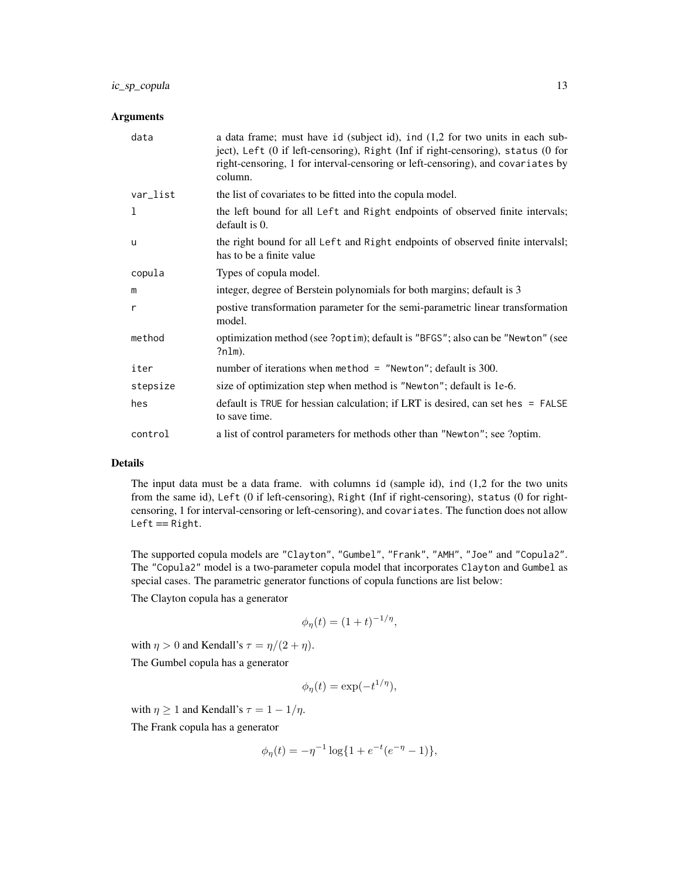# ic\_sp\_copula 13

# Arguments

| data     | a data frame; must have id (subject id), ind (1,2 for two units in each sub-<br>ject), Left (0 if left-censoring), Right (Inf if right-censoring), status (0 for<br>right-censoring, 1 for interval-censoring or left-censoring), and covariates by<br>column. |
|----------|----------------------------------------------------------------------------------------------------------------------------------------------------------------------------------------------------------------------------------------------------------------|
| var_list | the list of covariates to be fitted into the copula model.                                                                                                                                                                                                     |
| 1        | the left bound for all Left and Right endpoints of observed finite intervals;<br>default is 0.                                                                                                                                                                 |
| u        | the right bound for all Left and Right endpoints of observed finite intervalsl;<br>has to be a finite value                                                                                                                                                    |
| copula   | Types of copula model.                                                                                                                                                                                                                                         |
| m        | integer, degree of Berstein polynomials for both margins; default is 3                                                                                                                                                                                         |
| r        | postive transformation parameter for the semi-parametric linear transformation<br>model.                                                                                                                                                                       |
| method   | optimization method (see ?optim); default is "BFGS"; also can be "Newton" (see<br>?nlm).                                                                                                                                                                       |
| iter     | number of iterations when method = $"Newton"$ ; default is 300.                                                                                                                                                                                                |
| stepsize | size of optimization step when method is "Newton"; default is 1e-6.                                                                                                                                                                                            |
| hes      | default is TRUE for hessian calculation; if LRT is desired, can set hes = FALSE<br>to save time.                                                                                                                                                               |
| control  | a list of control parameters for methods other than "Newton"; see ?optim.                                                                                                                                                                                      |

# Details

The input data must be a data frame. with columns id (sample id), ind (1,2 for the two units from the same id), Left (0 if left-censoring), Right (Inf if right-censoring), status (0 for rightcensoring, 1 for interval-censoring or left-censoring), and covariates. The function does not allow  $Left == Right.$ 

The supported copula models are "Clayton", "Gumbel", "Frank", "AMH", "Joe" and "Copula2". The "Copula2" model is a two-parameter copula model that incorporates Clayton and Gumbel as special cases. The parametric generator functions of copula functions are list below:

The Clayton copula has a generator

$$
\phi_{\eta}(t) = (1+t)^{-1/\eta},
$$

with  $\eta > 0$  and Kendall's  $\tau = \eta/(2 + \eta)$ .

The Gumbel copula has a generator

$$
\phi_{\eta}(t) = \exp(-t^{1/\eta}),
$$

with  $\eta \geq 1$  and Kendall's  $\tau = 1 - 1/\eta$ .

The Frank copula has a generator

$$
\phi_{\eta}(t) = -\eta^{-1} \log\{1 + e^{-t}(e^{-\eta} - 1)\},\
$$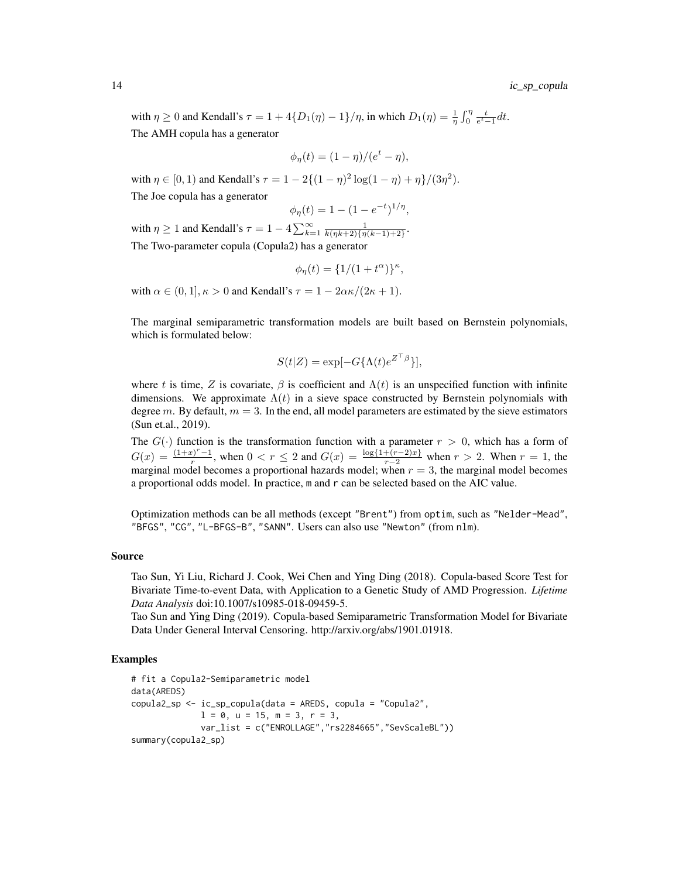with  $\eta \ge 0$  and Kendall's  $\tau = 1 + 4\{D_1(\eta) - 1\}/\eta$ , in which  $D_1(\eta) = \frac{1}{\eta} \int_0^{\eta} \frac{t}{e^t - 1} dt$ . The AMH copula has a generator

$$
\phi_{\eta}(t) = (1 - \eta)/(e^t - \eta),
$$

with  $\eta \in [0, 1)$  and Kendall's  $\tau = 1 - 2\{(1 - \eta)^2 \log(1 - \eta) + \eta\}/(3\eta^2)$ .

The Joe copula has a generator

$$
\phi_{\eta}(t) = 1 - (1 - e^{-t})^{1/\eta},
$$

with  $\eta \ge 1$  and Kendall's  $\tau = 1 - 4 \sum_{k=1}^{\infty} \frac{1}{k(\eta k + 2)\{\eta(k-1)+2\}}$ . The Two-parameter copula (Copula2) has a generator

$$
\phi_{\eta}(t) = \{1/(1+t^{\alpha})\}^{\kappa},
$$

with  $\alpha \in (0, 1], \kappa > 0$  and Kendall's  $\tau = 1 - 2\alpha \kappa/(2\kappa + 1)$ .

The marginal semiparametric transformation models are built based on Bernstein polynomials, which is formulated below:

$$
S(t|Z) = \exp[-G\{\Lambda(t)e^{Z^\top\beta}\}],
$$

where t is time, Z is covariate,  $\beta$  is coefficient and  $\Lambda(t)$  is an unspecified function with infinite dimensions. We approximate  $\Lambda(t)$  in a sieve space constructed by Bernstein polynomials with degree m. By default,  $m = 3$ . In the end, all model parameters are estimated by the sieve estimators (Sun et.al., 2019).

The  $G(\cdot)$  function is the transformation function with a parameter  $r > 0$ , which has a form of  $G(x) = \frac{(1+x)^{r}-1}{x}$  $\frac{r^{(n-1)}r}{r}$ , when  $0 \lt r \le 2$  and  $G(x) = \frac{\log\{1 + (r-2)x\}}{r-2}$  when  $r > 2$ . When  $r = 1$ , the marginal model becomes a proportional hazards model; when  $r = 3$ , the marginal model becomes a proportional odds model. In practice, m and r can be selected based on the AIC value.

Optimization methods can be all methods (except "Brent") from optim, such as "Nelder-Mead", "BFGS", "CG", "L-BFGS-B", "SANN". Users can also use "Newton" (from nlm).

#### Source

Tao Sun, Yi Liu, Richard J. Cook, Wei Chen and Ying Ding (2018). Copula-based Score Test for Bivariate Time-to-event Data, with Application to a Genetic Study of AMD Progression. *Lifetime Data Analysis* doi:10.1007/s10985-018-09459-5.

Tao Sun and Ying Ding (2019). Copula-based Semiparametric Transformation Model for Bivariate Data Under General Interval Censoring. http://arxiv.org/abs/1901.01918.

### Examples

```
# fit a Copula2-Semiparametric model
data(AREDS)
copula2_sp <- ic_sp_copula(data = AREDS, copula = "Copula2",
              1 = 0, u = 15, m = 3, r = 3,
              var_list = c("ENROLLAGE","rs2284665","SevScaleBL"))
summary(copula2_sp)
```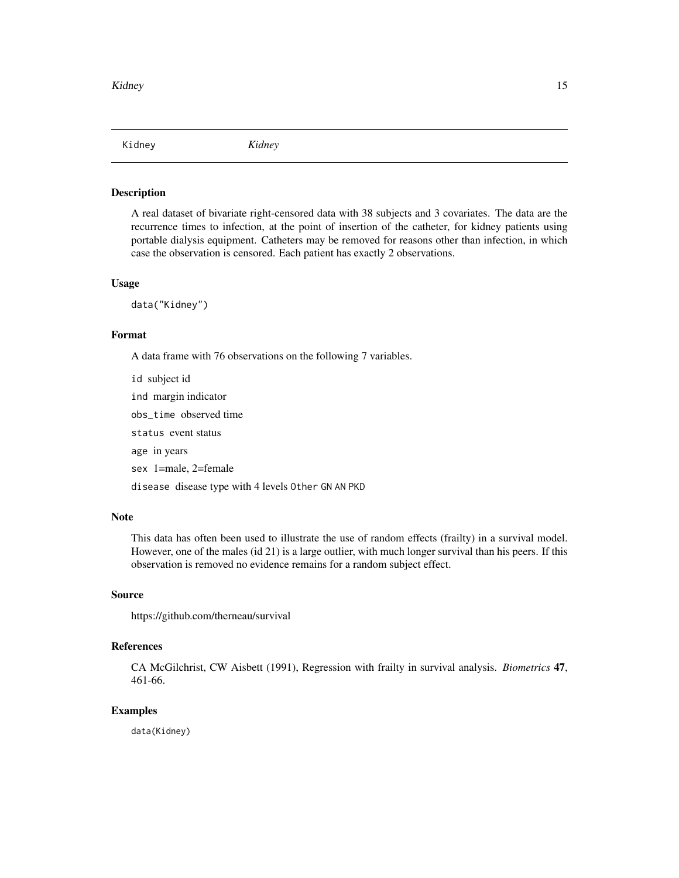<span id="page-14-0"></span>Kidney *Kidney*

#### Description

A real dataset of bivariate right-censored data with 38 subjects and 3 covariates. The data are the recurrence times to infection, at the point of insertion of the catheter, for kidney patients using portable dialysis equipment. Catheters may be removed for reasons other than infection, in which case the observation is censored. Each patient has exactly 2 observations.

#### Usage

data("Kidney")

# Format

A data frame with 76 observations on the following 7 variables.

id subject id ind margin indicator obs\_time observed time status event status age in years sex 1=male, 2=female disease disease type with 4 levels Other GN AN PKD

#### Note

This data has often been used to illustrate the use of random effects (frailty) in a survival model. However, one of the males (id 21) is a large outlier, with much longer survival than his peers. If this observation is removed no evidence remains for a random subject effect.

#### Source

https://github.com/therneau/survival

# References

CA McGilchrist, CW Aisbett (1991), Regression with frailty in survival analysis. *Biometrics* 47, 461-66.

#### Examples

data(Kidney)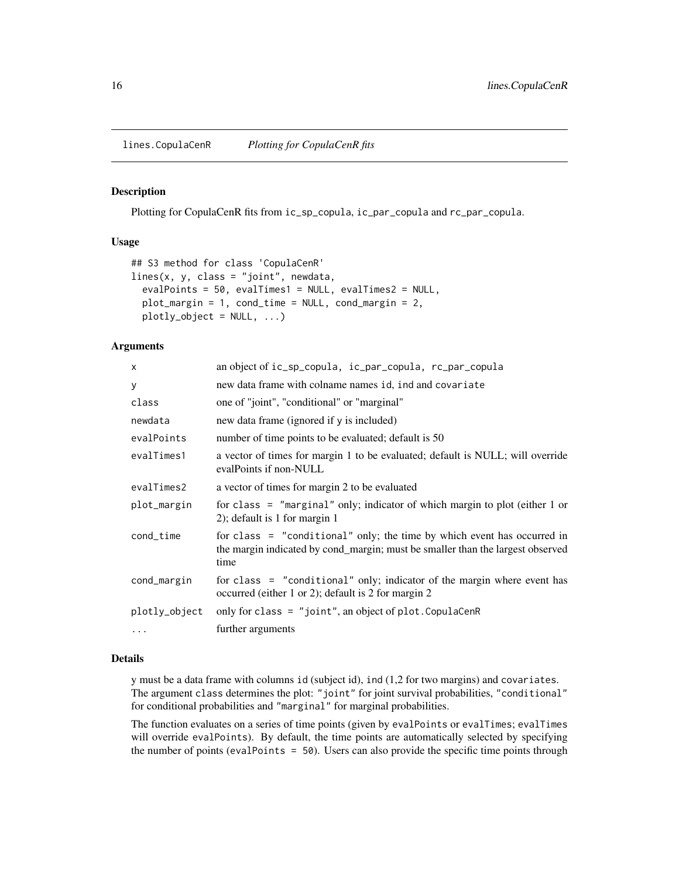<span id="page-15-0"></span>

#### Description

Plotting for CopulaCenR fits from ic\_sp\_copula, ic\_par\_copula and rc\_par\_copula.

#### Usage

```
## S3 method for class 'CopulaCenR'
lines(x, y, class = "joint", newdata,
 evalPoints = 50, evalTimes1 = NULL, evalTimes2 = NULL,
 plot_margin = 1, cond_time = NULL, cond_margin = 2,
 plotly_object = NULL, ...)
```
#### Arguments

| X             | an object of ic_sp_copula, ic_par_copula, rc_par_copula                                                                                                           |
|---------------|-------------------------------------------------------------------------------------------------------------------------------------------------------------------|
| у             | new data frame with colname names id, ind and covariate                                                                                                           |
| class         | one of "joint", "conditional" or "marginal"                                                                                                                       |
| newdata       | new data frame (ignored if y is included)                                                                                                                         |
| evalPoints    | number of time points to be evaluated; default is 50                                                                                                              |
| evalTimes1    | a vector of times for margin 1 to be evaluated; default is NULL; will override<br>evalPoints if non-NULL                                                          |
| evalTimes2    | a vector of times for margin 2 to be evaluated                                                                                                                    |
| plot_margin   | for class = "marginal" only; indicator of which margin to plot (either $1$ or<br>$2$ ; default is 1 for margin 1                                                  |
| cond_time     | for class = "conditional" only; the time by which event has occurred in<br>the margin indicated by cond_margin; must be smaller than the largest observed<br>time |
| cond_margin   | for class = "conditional" only; indicator of the margin where event has<br>occurred (either 1 or 2); default is 2 for margin 2                                    |
| plotly_object | only for class = "joint", an object of plot. CopulaCenR                                                                                                           |
| $\cdots$      | further arguments                                                                                                                                                 |

#### Details

y must be a data frame with columns id (subject id), ind (1,2 for two margins) and covariates. The argument class determines the plot: "joint" for joint survival probabilities, "conditional" for conditional probabilities and "marginal" for marginal probabilities.

The function evaluates on a series of time points (given by evalPoints or evalTimes; evalTimes will override evalPoints). By default, the time points are automatically selected by specifying the number of points (evalPoints = 50). Users can also provide the specific time points through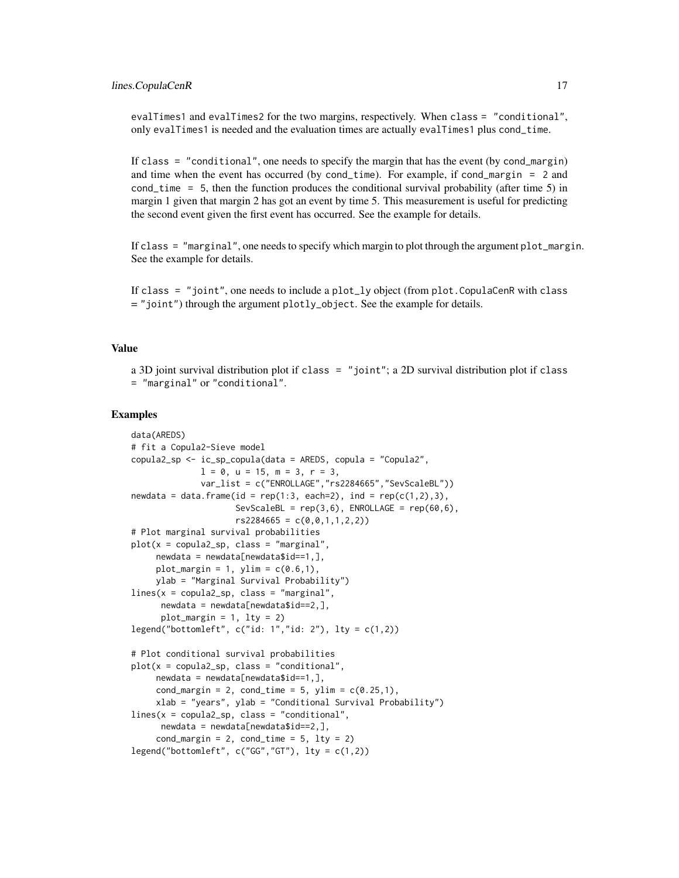evalTimes1 and evalTimes2 for the two margins, respectively. When class = "conditional", only evalTimes1 is needed and the evaluation times are actually evalTimes1 plus cond\_time.

If class = "conditional", one needs to specify the margin that has the event (by cond\_margin) and time when the event has occurred (by cond\_time). For example, if cond\_margin = 2 and cond\_time = 5, then the function produces the conditional survival probability (after time 5) in margin 1 given that margin 2 has got an event by time 5. This measurement is useful for predicting the second event given the first event has occurred. See the example for details.

If class = "marginal", one needs to specify which margin to plot through the argument plot\_margin. See the example for details.

If class = "joint", one needs to include a plot\_ly object (from plot.CopulaCenR with class = "joint") through the argument plotly\_object. See the example for details.

#### Value

a 3D joint survival distribution plot if class = "joint"; a 2D survival distribution plot if class = "marginal" or "conditional".

#### Examples

```
data(AREDS)
# fit a Copula2-Sieve model
copula2_sp <- ic_sp_copula(data = AREDS, copula = "Copula2",
             1 = 0, u = 15, m = 3, r = 3,
             var_list = c("ENROLLAGE","rs2284665","SevScaleBL"))
newdata = data.frame(id = rep(1:3, each=2), ind = rep(c(1,2),3),
                     SevScaleBL = rep(3,6), ENROLLAGE = rep(60,6),
                     rs2284665 = c(0,0,1,1,2,2)# Plot marginal survival probabilities
plot(x = copula2_sp, class = "marginal",newdata = newdata[newdata$id==1,].plot_margin = 1, ylim = c(0.6,1),
     ylab = "Marginal Survival Probability")
lines(x = copula2_sp, class = "marginal",newdata = newdata[newdata$id==2,],plot_margin = 1, lty = 2legend("bottomleft", c("id: 1", "id: 2"), lty = c(1,2))# Plot conditional survival probabilities
plot(x = copula2_sp, class = "conditional",newdata = newdata[newdata$id==1,],cond_margin = 2, cond_time = 5, ylim = c(0.25,1),
     xlab = "years", ylab = "Conditional Survival Probability")
lines(x = copula2_sp, class = "conditional",newdata = newdata[newdata$id==2,],cond_margin = 2, cond_time = 5, lty = 2)
legend("bottomleft", c("GG", "GT"), lty = c(1,2))
```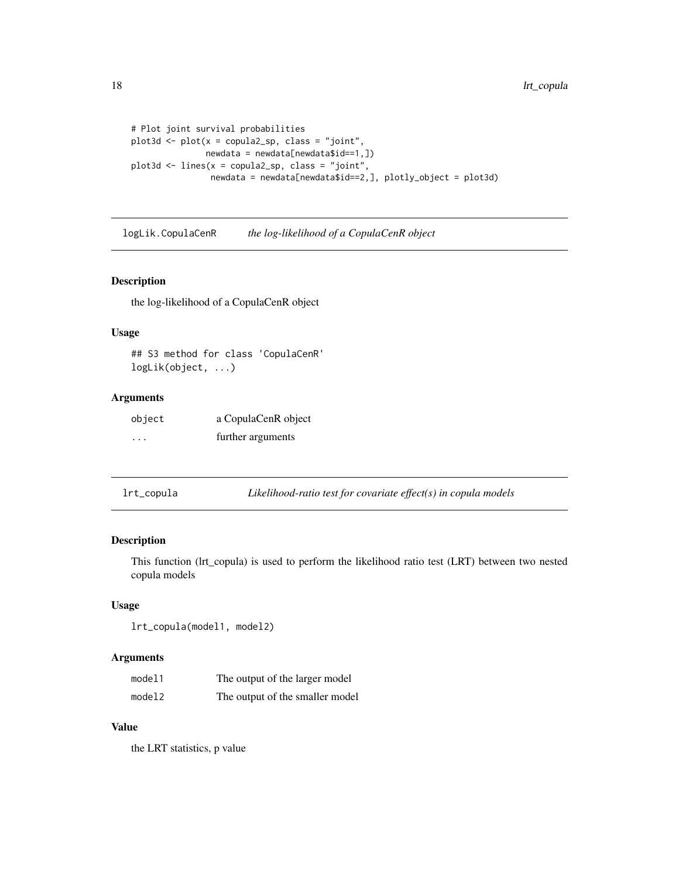```
# Plot joint survival probabilities
plot3d <- plot(x = copula2_sp, class = "joint",
              newdata = newdata[newdata$id==1, ])plot3d <- lines(x = copula2_sp, class = "joint",
                newdata = newdata[newdata$id==2,], plotly_object = plot3d)
```
logLik.CopulaCenR *the log-likelihood of a CopulaCenR object*

#### Description

the log-likelihood of a CopulaCenR object

#### Usage

```
## S3 method for class 'CopulaCenR'
logLik(object, ...)
```
# Arguments

| object   | a CopulaCenR object |
|----------|---------------------|
| $\cdots$ | further arguments   |

lrt\_copula *Likelihood-ratio test for covariate effect(s) in copula models*

#### Description

This function (lrt\_copula) is used to perform the likelihood ratio test (LRT) between two nested copula models

#### Usage

lrt\_copula(model1, model2)

#### Arguments

| model1 | The output of the larger model  |
|--------|---------------------------------|
| model2 | The output of the smaller model |

# Value

the LRT statistics, p value

<span id="page-17-0"></span>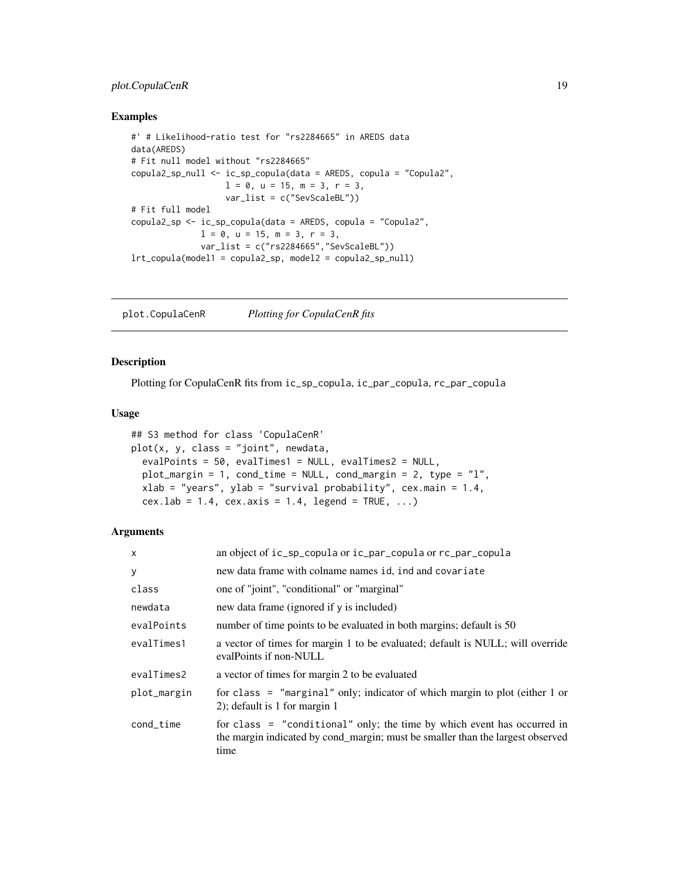# <span id="page-18-0"></span>plot.CopulaCenR 19

#### Examples

```
#' # Likelihood-ratio test for "rs2284665" in AREDS data
data(AREDS)
# Fit null model without "rs2284665"
copula2_sp_null <- ic_sp_copula(data = AREDS, copula = "Copula2",
                  1 = 0, u = 15, m = 3, r = 3,
                  var_list = c("SevScaleBL"))
# Fit full model
copula2_sp <- ic_sp_copula(data = AREDS, copula = "Copula2",
              l = 0, u = 15, m = 3, r = 3,
             var_list = c("rs2284665","SevScaleBL"))
lrt_copula(model1 = copula2_sp, model2 = copula2_sp_null)
```
plot.CopulaCenR *Plotting for CopulaCenR fits*

#### Description

Plotting for CopulaCenR fits from ic\_sp\_copula, ic\_par\_copula, rc\_par\_copula

### Usage

```
## S3 method for class 'CopulaCenR'
plot(x, y, class = "joint", newdata,evalPoints = 50, evalTimes1 = NULL, evalTimes2 = NULL,
 plot_margin = 1, cond_time = NULL, cond_margin = 2, type = "l",
 xlab = "years", ylab = "survival probability", cex.main = 1.4,
 cex.1ab = 1.4, cex.axis = 1.4, legend = TRUE, ...
```

| $\mathsf{x}$ | an object of ic_sp_copula or ic_par_copula or rc_par_copula                                                                                                         |
|--------------|---------------------------------------------------------------------------------------------------------------------------------------------------------------------|
| У            | new data frame with colname names id, ind and covariate                                                                                                             |
| class        | one of "joint", "conditional" or "marginal"                                                                                                                         |
| newdata      | new data frame (ignored if y is included)                                                                                                                           |
| evalPoints   | number of time points to be evaluated in both margins; default is 50                                                                                                |
| evalTimes1   | a vector of times for margin 1 to be evaluated; default is NULL; will override<br>evalPoints if non-NULL                                                            |
| evalTimes2   | a vector of times for margin 2 to be evaluated                                                                                                                      |
| plot_margin  | for class = "marginal" only; indicator of which margin to plot (either $1$ or<br>2); default is 1 for margin 1                                                      |
| cond_time    | for class $=$ "conditional" only; the time by which event has occurred in<br>the margin indicated by cond_margin; must be smaller than the largest observed<br>time |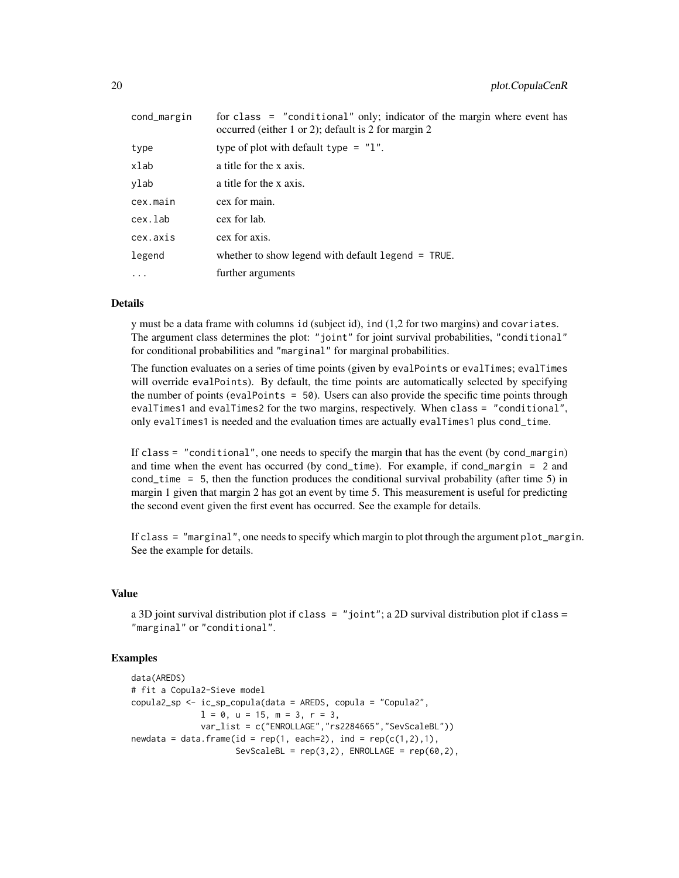| for class = "conditional" only; indicator of the margin where event has<br>occurred (either 1 or 2); default is 2 for margin 2 |
|--------------------------------------------------------------------------------------------------------------------------------|
| type of plot with default type $=$ "1".                                                                                        |
| a title for the x axis.                                                                                                        |
| a title for the x axis.                                                                                                        |
| cex for main.                                                                                                                  |
| cex for lab.                                                                                                                   |
| cex for axis.                                                                                                                  |
| whether to show legend with default $l$ egend = TRUE.                                                                          |
| further arguments                                                                                                              |
|                                                                                                                                |

#### Details

y must be a data frame with columns id (subject id), ind (1,2 for two margins) and covariates. The argument class determines the plot: "joint" for joint survival probabilities, "conditional" for conditional probabilities and "marginal" for marginal probabilities.

The function evaluates on a series of time points (given by evalPoints or evalTimes; evalTimes will override evalPoints). By default, the time points are automatically selected by specifying the number of points (evalPoints = 50). Users can also provide the specific time points through evalTimes1 and evalTimes2 for the two margins, respectively. When class = "conditional", only evalTimes1 is needed and the evaluation times are actually evalTimes1 plus cond\_time.

If class = "conditional", one needs to specify the margin that has the event (by cond\_margin) and time when the event has occurred (by cond\_time). For example, if cond\_margin = 2 and cond\_time = 5, then the function produces the conditional survival probability (after time 5) in margin 1 given that margin 2 has got an event by time 5. This measurement is useful for predicting the second event given the first event has occurred. See the example for details.

If class = "marginal", one needs to specify which margin to plot through the argument plot\_margin. See the example for details.

#### Value

a 3D joint survival distribution plot if class =  $"joint"; a 2D survival distribution plot if class =$ "marginal" or "conditional".

# Examples

```
data(AREDS)
# fit a Copula2-Sieve model
copula2_sp <- ic_sp_copula(data = AREDS, copula = "Copula2",
              1 = 0, u = 15, m = 3, r = 3,
              var_list = c("ENROLLAGE","rs2284665","SevScaleBL"))
newdata = data.frame(id = rep(1, each=2), ind = rep(c(1, 2), 1),
                     SevScaleBL = rep(3,2), ENROLLAGE = rep(60,2),
```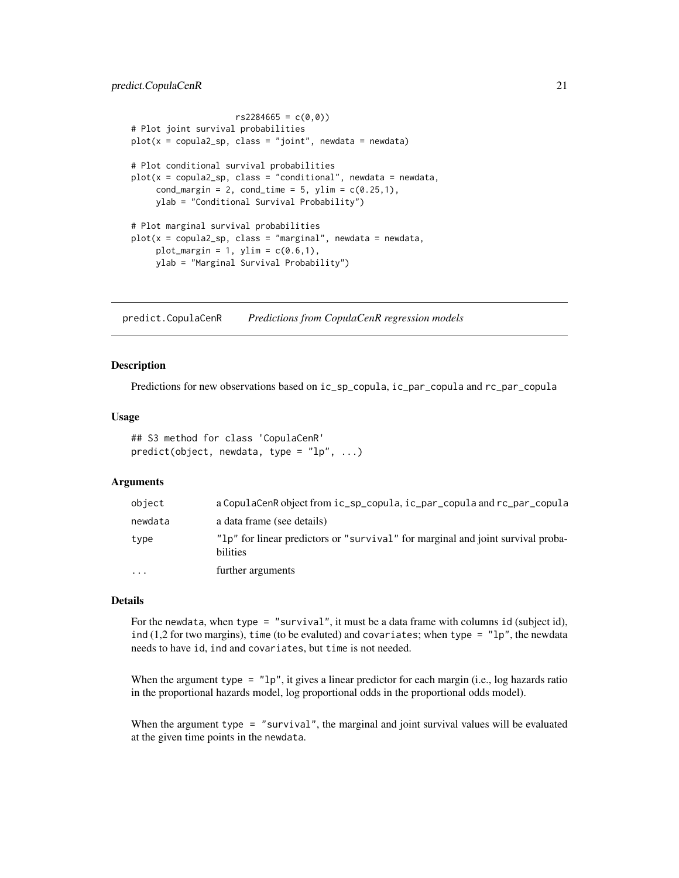# <span id="page-20-0"></span>predict.CopulaCenR 21

```
rs2284665 = c(0,0)# Plot joint survival probabilities
plot(x = copula2_sp, class = "joint", newdata = newdata)# Plot conditional survival probabilities
plot(x = copula2_sp, class = "conditional", newdata = newdata,cond_margin = 2, cond_time = 5, ylim = c(0.25,1),
    ylab = "Conditional Survival Probability")
# Plot marginal survival probabilities
plot(x = copula2_sp, class = "marginal", newdata = newdata,plot_margin = 1, ylim = c(0.6,1),
    ylab = "Marginal Survival Probability")
```
predict.CopulaCenR *Predictions from CopulaCenR regression models*

#### Description

Predictions for new observations based on ic\_sp\_copula, ic\_par\_copula and rc\_par\_copula

#### Usage

```
## S3 method for class 'CopulaCenR'
predict(object, new data, type = "lp", ...)
```
#### Arguments

| object   | a CopulaCenR object from ic_sp_copula, ic_par_copula and rc_par_copula                      |
|----------|---------------------------------------------------------------------------------------------|
| newdata  | a data frame (see details)                                                                  |
| type     | "lp" for linear predictors or "survival" for marginal and joint survival proba-<br>bilities |
| $\cdots$ | further arguments                                                                           |

#### Details

For the newdata, when type = "survival", it must be a data frame with columns id (subject id), ind  $(1,2$  for two margins), time (to be evaluted) and covariates; when type =  $"lp",$  the newdata needs to have id, ind and covariates, but time is not needed.

When the argument type =  $"lp"$ , it gives a linear predictor for each margin (i.e., log hazards ratio in the proportional hazards model, log proportional odds in the proportional odds model).

When the argument type = "survival", the marginal and joint survival values will be evaluated at the given time points in the newdata.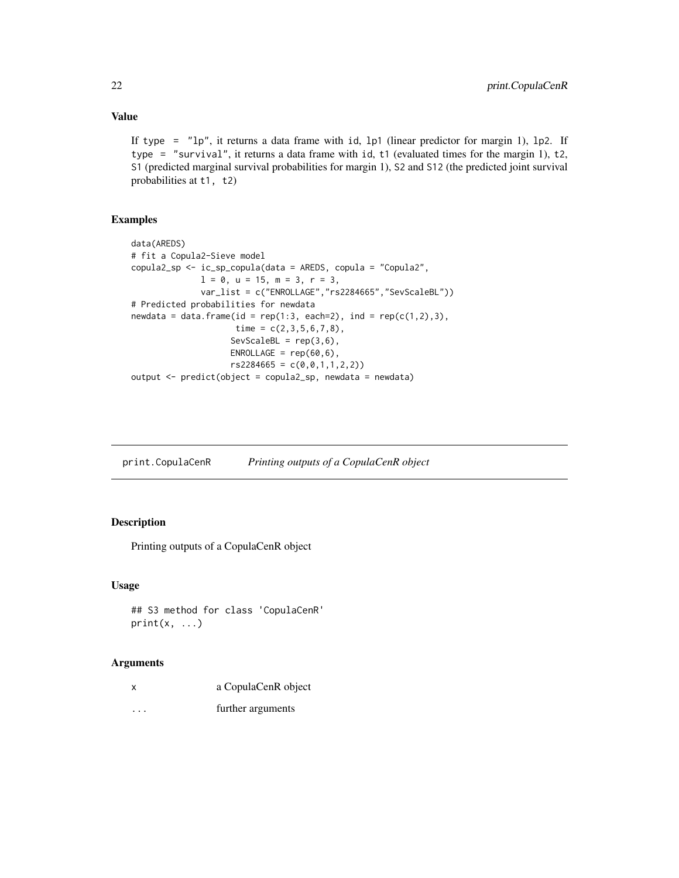# <span id="page-21-0"></span>Value

If type =  $"lp"$ , it returns a data frame with id, lp1 (linear predictor for margin 1), lp2. If type = "survival", it returns a data frame with id, t1 (evaluated times for the margin 1), t2, S1 (predicted marginal survival probabilities for margin 1), S2 and S12 (the predicted joint survival probabilities at t1, t2)

# Examples

```
data(AREDS)
# fit a Copula2-Sieve model
copula2_sp <- ic_sp_copula(data = AREDS, copula = "Copula2",
              1 = 0, u = 15, m = 3, r = 3,
              var_list = c("ENROLLAGE","rs2284665","SevScaleBL"))
# Predicted probabilities for newdata
newdata = data.frame(id = rep(1:3, each=2), ind = rep(c(1,2),3),
                    time = c(2,3,5,6,7,8),
                    SevScaleBL = rep(3,6),ENROLLAGE = rep(60, 6),
                    rs2284665 = c(0,0,1,1,2,2))output <- predict(object = copula2_sp, newdata = newdata)
```

| print.CopulaCenR | Printing outputs of a CopulaCenR object |  |  |
|------------------|-----------------------------------------|--|--|
|                  |                                         |  |  |

# Description

Printing outputs of a CopulaCenR object

# Usage

```
## S3 method for class 'CopulaCenR'
print(x, \ldots)
```

| x       | a CopulaCenR object |
|---------|---------------------|
| $\cdot$ | further arguments   |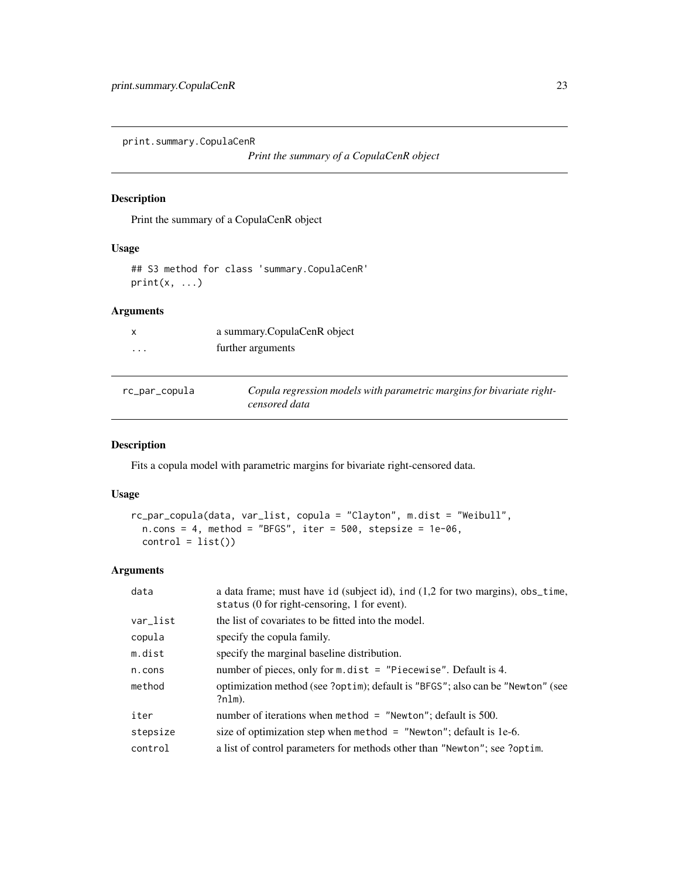<span id="page-22-0"></span>print.summary.CopulaCenR

```
Print the summary of a CopulaCenR object
```
# Description

Print the summary of a CopulaCenR object

#### Usage

## S3 method for class 'summary.CopulaCenR'  $print(x, \ldots)$ 

# Arguments

|   | a summary.CopulaCenR object |
|---|-----------------------------|
| . | further arguments           |

| rc_par_copula | Copula regression models with parametric margins for bivariate right- |
|---------------|-----------------------------------------------------------------------|
|               | censored data                                                         |

# Description

Fits a copula model with parametric margins for bivariate right-censored data.

# Usage

```
rc_par_copula(data, var_list, copula = "Clayton", m.dist = "Weibull",
 n.\text{cons} = 4, method = "BFGS", iter = 500, stepsize = 1e-06,
 control = list()
```

| data     | a data frame; must have id (subject id), ind (1,2 for two margins), obs_time,<br>status (0 for right-censoring, 1 for event). |
|----------|-------------------------------------------------------------------------------------------------------------------------------|
| var_list | the list of covariates to be fitted into the model.                                                                           |
| copula   | specify the copula family.                                                                                                    |
| m.dist   | specify the marginal baseline distribution.                                                                                   |
| n.cons   | number of pieces, only for $m$ . dist = "Piecewise". Default is 4.                                                            |
| method   | optimization method (see ?optim); default is "BFGS"; also can be "Newton" (see<br>?nlm).                                      |
| iter     | number of iterations when method $=$ "Newton"; default is 500.                                                                |
| stepsize | size of optimization step when method = $"Newton"$ ; default is 1e-6.                                                         |
| control  | a list of control parameters for methods other than "Newton"; see ?optim.                                                     |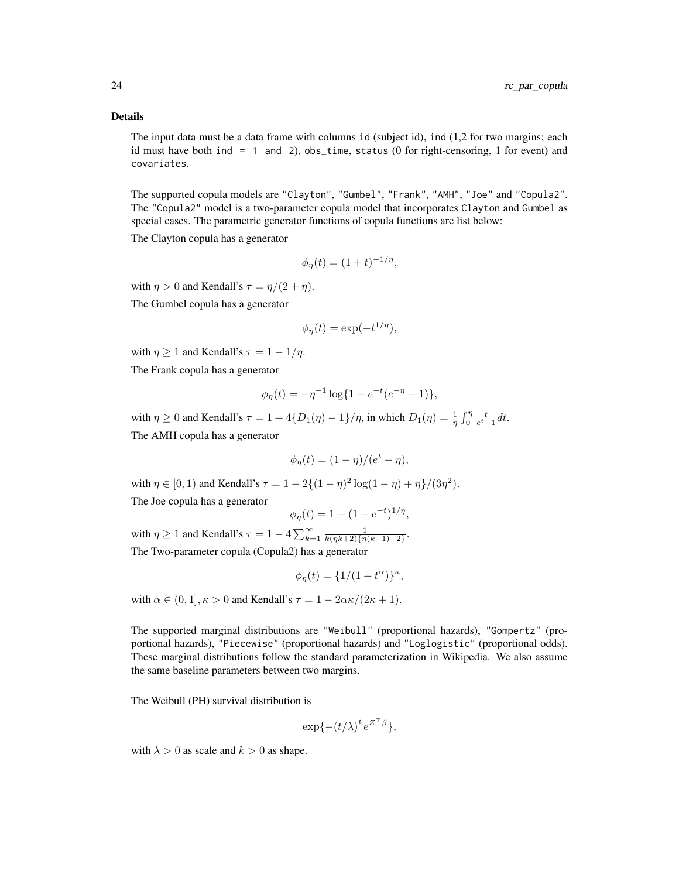#### Details

The input data must be a data frame with columns id (subject id), ind (1,2 for two margins; each id must have both ind  $= 1$  and 2), obs\_time, status (0 for right-censoring, 1 for event) and covariates.

The supported copula models are "Clayton", "Gumbel", "Frank", "AMH", "Joe" and "Copula2". The "Copula2" model is a two-parameter copula model that incorporates Clayton and Gumbel as special cases. The parametric generator functions of copula functions are list below:

The Clayton copula has a generator

$$
\phi_{\eta}(t) = (1+t)^{-1/\eta},
$$

with  $\eta > 0$  and Kendall's  $\tau = \eta/(2 + \eta)$ . The Gumbel copula has a generator

$$
\phi_{\eta}(t) = \exp(-t^{1/\eta}),
$$

with  $\eta \geq 1$  and Kendall's  $\tau = 1 - 1/\eta$ .

The Frank copula has a generator

$$
\phi_{\eta}(t) = -\eta^{-1} \log\{1 + e^{-t}(e^{-\eta} - 1)\},\
$$

with  $\eta \ge 0$  and Kendall's  $\tau = 1 + 4\{D_1(\eta) - 1\}/\eta$ , in which  $D_1(\eta) = \frac{1}{\eta} \int_0^{\eta} \frac{t}{e^t - 1} dt$ . The AMH copula has a generator

$$
\phi_{\eta}(t) = (1 - \eta)/(e^t - \eta),
$$

with  $\eta \in [0, 1)$  and Kendall's  $\tau = 1 - 2\{(1 - \eta)^2 \log(1 - \eta) + \eta\}/(3\eta^2)$ .

The Joe copula has a generator

$$
\phi_{\eta}(t) = 1 - (1 - e^{-t})^{1/\eta},
$$

with  $\eta \ge 1$  and Kendall's  $\tau = 1 - 4 \sum_{k=1}^{\infty} \frac{1}{k(\eta k+2)\{\eta(k-1)+2\}}$ . The Two-parameter copula (Copula2) has a generator

$$
\phi_\eta(t)=\{1/(1+t^\alpha)\}^\kappa,
$$

with  $\alpha \in (0, 1], \kappa > 0$  and Kendall's  $\tau = 1 - 2\alpha \kappa/(2\kappa + 1)$ .

The supported marginal distributions are "Weibull" (proportional hazards), "Gompertz" (proportional hazards), "Piecewise" (proportional hazards) and "Loglogistic" (proportional odds). These marginal distributions follow the standard parameterization in Wikipedia. We also assume the same baseline parameters between two margins.

The Weibull (PH) survival distribution is

$$
\exp\{-(t/\lambda)^k e^{Z^\top\beta}\},\
$$

with  $\lambda > 0$  as scale and  $k > 0$  as shape.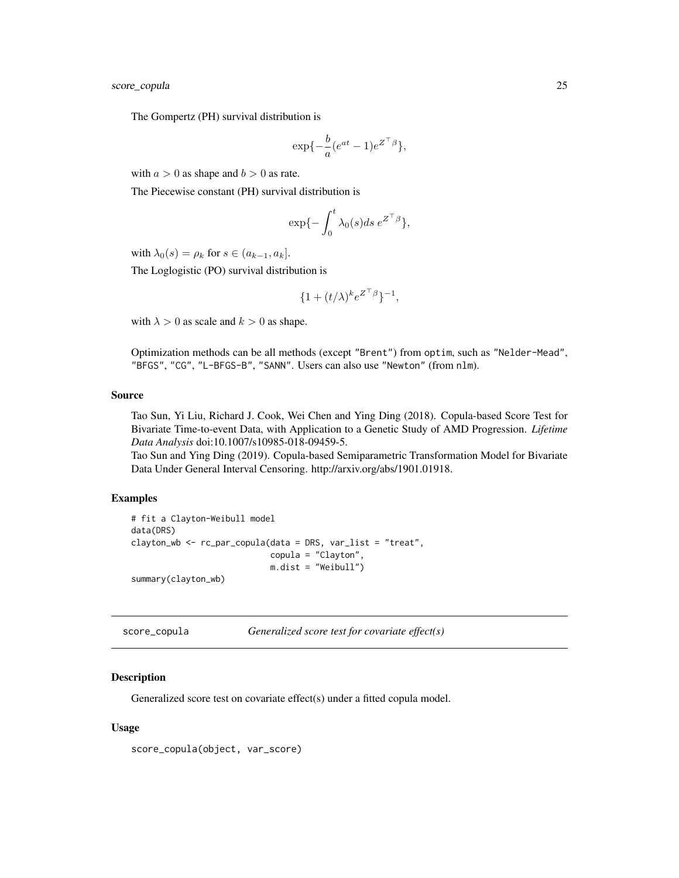<span id="page-24-0"></span>score\_copula 25

The Gompertz (PH) survival distribution is

$$
\exp\{-\frac{b}{a}(e^{at}-1)e^{Z^\top\beta}\},\
$$

with  $a > 0$  as shape and  $b > 0$  as rate.

The Piecewise constant (PH) survival distribution is

$$
\exp\{-\int_0^t \lambda_0(s)ds\,e^{Z^\top\beta}\},\
$$

with  $\lambda_0(s) = \rho_k$  for  $s \in (a_{k-1}, a_k]$ .

The Loglogistic (PO) survival distribution is

$$
\{1+(t/\lambda)^k e^{Z^\top\beta}\}^{-1},
$$

with  $\lambda > 0$  as scale and  $k > 0$  as shape.

Optimization methods can be all methods (except "Brent") from optim, such as "Nelder-Mead", "BFGS", "CG", "L-BFGS-B", "SANN". Users can also use "Newton" (from nlm).

# Source

Tao Sun, Yi Liu, Richard J. Cook, Wei Chen and Ying Ding (2018). Copula-based Score Test for Bivariate Time-to-event Data, with Application to a Genetic Study of AMD Progression. *Lifetime Data Analysis* doi:10.1007/s10985-018-09459-5.

Tao Sun and Ying Ding (2019). Copula-based Semiparametric Transformation Model for Bivariate Data Under General Interval Censoring. http://arxiv.org/abs/1901.01918.

#### Examples

```
# fit a Clayton-Weibull model
data(DRS)
clayton_wb <- rc_par_copula(data = DRS, var_list = "treat",
                            copula = "Clayton",
                            m.dist = "Weibull")
summary(clayton_wb)
```
score\_copula *Generalized score test for covariate effect(s)*

#### Description

Generalized score test on covariate effect(s) under a fitted copula model.

#### Usage

score\_copula(object, var\_score)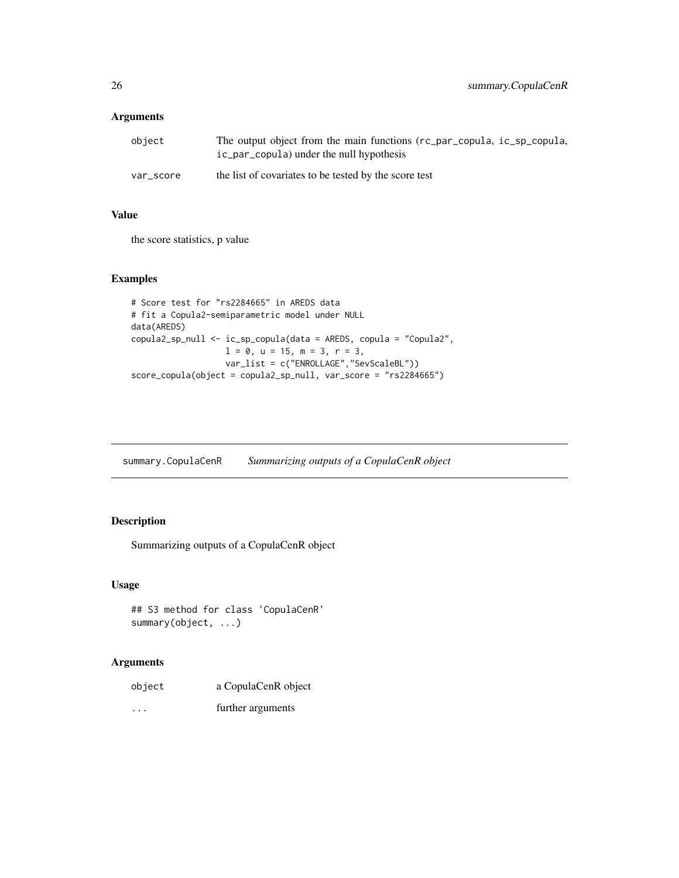# <span id="page-25-0"></span>Arguments

| object    | The output object from the main functions (rc_par_copula, ic_sp_copula,<br>ic_par_copula) under the null hypothesis |
|-----------|---------------------------------------------------------------------------------------------------------------------|
| var score | the list of covariates to be tested by the score test                                                               |

# Value

the score statistics, p value

# Examples

```
# Score test for "rs2284665" in AREDS data
# fit a Copula2-semiparametric model under NULL
data(AREDS)
copula2_sp_null <- ic_sp_copula(data = AREDS, copula = "Copula2",
                  1 = 0, u = 15, m = 3, r = 3,
                  var_list = c("ENROLLAGE","SevScaleBL"))
score_copula(object = copula2_sp_null, var_score = "rs2284665")
```
summary.CopulaCenR *Summarizing outputs of a CopulaCenR object*

# Description

Summarizing outputs of a CopulaCenR object

# Usage

```
## S3 method for class 'CopulaCenR'
summary(object, ...)
```

| object   | a CopulaCenR object |
|----------|---------------------|
| $\cdots$ | further arguments   |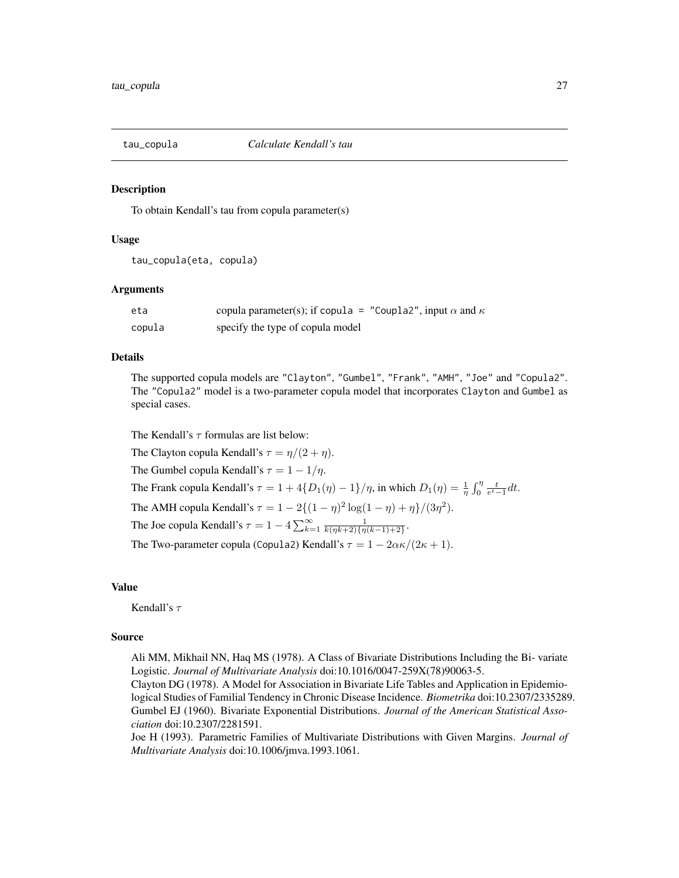<span id="page-26-0"></span>

#### Description

To obtain Kendall's tau from copula parameter(s)

#### Usage

tau\_copula(eta, copula)

#### Arguments

| eta    | copula parameter(s); if copula = "Coupla2", input $\alpha$ and $\kappa$ |
|--------|-------------------------------------------------------------------------|
| copula | specify the type of copula model                                        |

#### Details

The supported copula models are "Clayton", "Gumbel", "Frank", "AMH", "Joe" and "Copula2". The "Copula2" model is a two-parameter copula model that incorporates Clayton and Gumbel as special cases.

The Kendall's  $\tau$  formulas are list below:

The Clayton copula Kendall's  $\tau = \eta/(2 + \eta)$ . The Gumbel copula Kendall's  $\tau = 1 - 1/\eta$ . The Frank copula Kendall's  $\tau = 1 + 4\{D_1(\eta) - 1\}/\eta$ , in which  $D_1(\eta) = \frac{1}{\eta} \int_0^{\eta} \frac{t}{e^t - 1} dt$ . The AMH copula Kendall's  $\tau = 1 - 2\{(1 - \eta)^2 \log(1 - \eta) + \eta\}/(3\eta^2)$ . The Joe copula Kendall's  $\tau = 1 - 4 \sum_{k=1}^{\infty} \frac{1}{k(\eta k+2)\{\eta(k-1)+2\}}$ . The Two-parameter copula (Copula2) Kendall's  $\tau = 1 - 2\alpha\kappa/(2\kappa + 1)$ .

# Value

Kendall's  $\tau$ 

#### Source

Ali MM, Mikhail NN, Haq MS (1978). A Class of Bivariate Distributions Including the Bi- variate Logistic. *Journal of Multivariate Analysis* doi:10.1016/0047-259X(78)90063-5.

Clayton DG (1978). A Model for Association in Bivariate Life Tables and Application in Epidemiological Studies of Familial Tendency in Chronic Disease Incidence. *Biometrika* doi:10.2307/2335289. Gumbel EJ (1960). Bivariate Exponential Distributions. *Journal of the American Statistical Association* doi:10.2307/2281591.

Joe H (1993). Parametric Families of Multivariate Distributions with Given Margins. *Journal of Multivariate Analysis* doi:10.1006/jmva.1993.1061.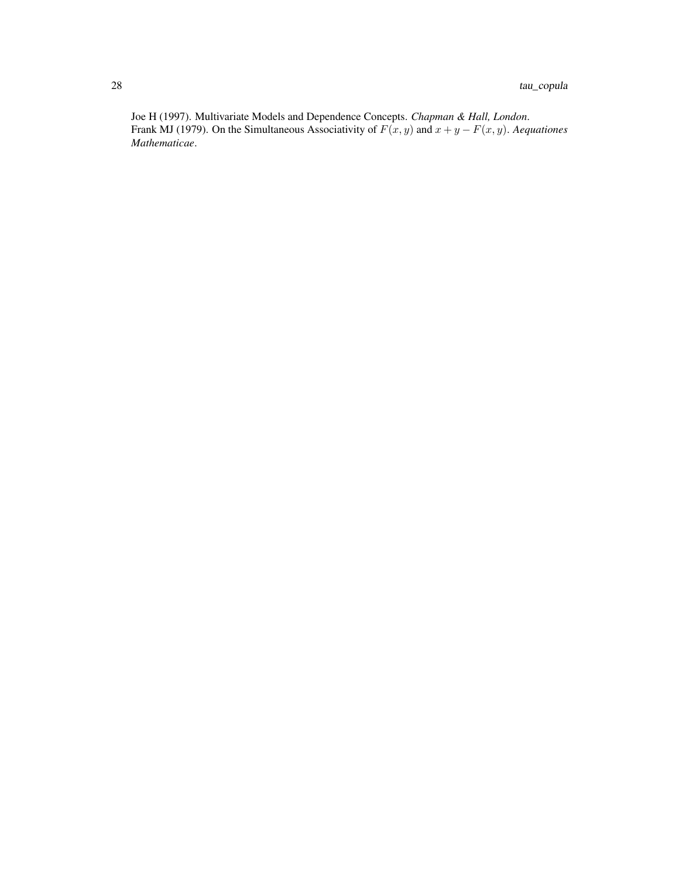Joe H (1997). Multivariate Models and Dependence Concepts. *Chapman & Hall, London*. Frank MJ (1979). On the Simultaneous Associativity of  $F(x, y)$  and  $x + y - F(x, y)$ . *Aequationes Mathematicae*.